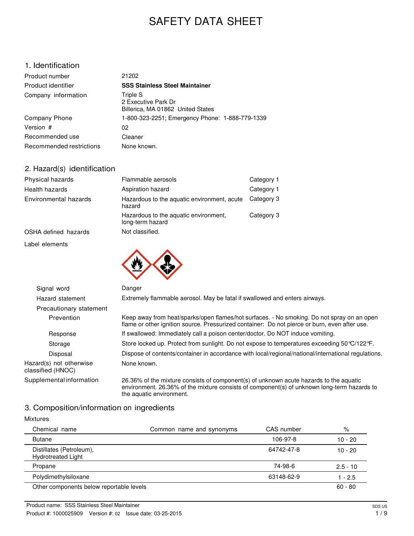# SAFETY DATA SHEET

# 1. Identification

| Product number           | 21202                                                                |
|--------------------------|----------------------------------------------------------------------|
| Product identifier       | <b>SSS Stainless Steel Maintainer</b>                                |
| Company information      | Triple S<br>2 Executive Park Dr<br>Billerica, MA 01862 United States |
| Company Phone            | 1-800-323-2251; Emergency Phone: 1-888-779-1339                      |
| Version #                | 02                                                                   |
| Recommended use          | Cleaner                                                              |
| Recommended restrictions | None known.                                                          |

# 2. Hazard(s) identification

| Physical hazards      | Flammable aerosols                                        | Category 1 |
|-----------------------|-----------------------------------------------------------|------------|
| Health hazards        | Aspiration hazard                                         | Category 1 |
| Environmental hazards | Hazardous to the aquatic environment, acute<br>hazard     | Category 3 |
|                       | Hazardous to the aquatic environment,<br>long-term hazard | Category 3 |
| OSHA defined hazards  | Not classified.                                           |            |
|                       |                                                           |            |

Label elements



| Signal word                                  | Danger                                                                                                                                                                                                            |
|----------------------------------------------|-------------------------------------------------------------------------------------------------------------------------------------------------------------------------------------------------------------------|
| Hazard statement                             | Extremely flammable aerosol. May be fatal if swallowed and enters airways.                                                                                                                                        |
| Precautionary statement                      |                                                                                                                                                                                                                   |
| Prevention                                   | Keep away from heat/sparks/open flames/hot surfaces. - No smoking. Do not spray on an open<br>flame or other ignition source. Pressurized container: Do not pierce or burn, even after use.                       |
| Response                                     | If swallowed: Immediately call a poison center/doctor. Do NOT induce vomiting.                                                                                                                                    |
| Storage                                      | Store locked up. Protect from sunlight. Do not expose to temperatures exceeding 50 °C/122 °F.                                                                                                                     |
| Disposal                                     | Dispose of contents/container in accordance with local/regional/national/international regulations.                                                                                                               |
| Hazard(s) not otherwise<br>classified (HNOC) | None known.                                                                                                                                                                                                       |
| Supplemental information                     | 26.36% of the mixture consists of component(s) of unknown acute hazards to the aquatic<br>environment. 26.36% of the mixture consists of component(s) of unknown long-term hazards to<br>the aquatic environment. |

# 3. Composition/information on ingredients

| <b>Mixtures</b>                                       |                          |            |            |
|-------------------------------------------------------|--------------------------|------------|------------|
| Chemical name                                         | Common name and synonyms | CAS number | %          |
| <b>Butane</b>                                         |                          | 106-97-8   | $10 - 20$  |
| Distillates (Petroleum),<br><b>Hydrotreated Light</b> |                          | 64742-47-8 | $10 - 20$  |
| Propane                                               |                          | 74-98-6    | $2.5 - 10$ |
| Polydimethylsiloxane                                  |                          | 63148-62-9 | $1 - 2.5$  |
| Other components below reportable levels              |                          |            | $60 - 80$  |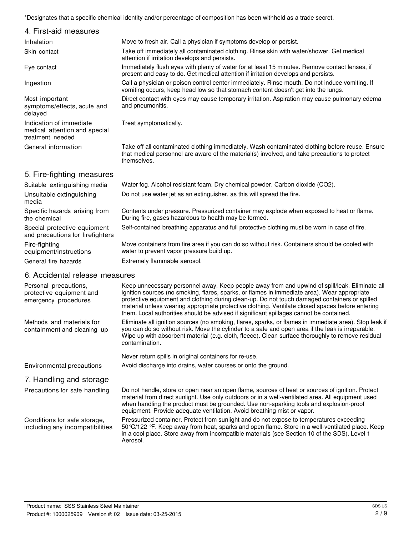\*Designates that a specific chemical identity and/or percentage of composition has been withheld as a trade secret.

| 4. First-aid measures                                                        |                                                                                                                                                                                                                 |
|------------------------------------------------------------------------------|-----------------------------------------------------------------------------------------------------------------------------------------------------------------------------------------------------------------|
| Inhalation                                                                   | Move to fresh air. Call a physician if symptoms develop or persist.                                                                                                                                             |
| Skin contact                                                                 | Take off immediately all contaminated clothing. Rinse skin with water/shower. Get medical<br>attention if irritation develops and persists.                                                                     |
| Eye contact                                                                  | Immediately flush eyes with plenty of water for at least 15 minutes. Remove contact lenses, if<br>present and easy to do. Get medical attention if irritation develops and persists.                            |
| Ingestion                                                                    | Call a physician or poison control center immediately. Rinse mouth. Do not induce vomiting. If<br>vomiting occurs, keep head low so that stomach content doesn't get into the lungs.                            |
| Most important<br>symptoms/effects, acute and<br>delayed                     | Direct contact with eyes may cause temporary irritation. Aspiration may cause pulmonary edema<br>and pneumonitis.                                                                                               |
| Indication of immediate<br>medical attention and special<br>treatment needed | Treat symptomatically.                                                                                                                                                                                          |
| General information                                                          | Take off all contaminated clothing immediately. Wash contaminated clothing before reuse. Ensure<br>that medical personnel are aware of the material(s) involved, and take precautions to protect<br>themselves. |
| 5. Fire-fighting measures                                                    |                                                                                                                                                                                                                 |
| Suitable extinguishing media                                                 | Water fog. Alcohol resistant foam. Dry chemical powder. Carbon dioxide (CO2).                                                                                                                                   |
| Unsuitable extinguishing<br>media                                            | Do not use water jet as an extinguisher, as this will spread the fire.                                                                                                                                          |
| Specific hazards arising from<br>the chemical                                | Contents under pressure. Pressurized container may explode when exposed to heat or flame.<br>During fire, gases hazardous to health may be formed.                                                              |
| Special protective equipment<br>and precautions for firefighters             | Self-contained breathing apparatus and full protective clothing must be worn in case of fire.                                                                                                                   |

Move containers from fire area if you can do so without risk. Containers should be cooled with water to prevent vapor pressure build up.

General fire hazards **Extremely flammable aerosol.** 

#### 6. Accidental release measures

Fire-fighting

equipment/instructions

| Personal precautions,<br>protective equipment and<br>emergency procedures | Keep unnecessary personnel away. Keep people away from and upwind of spill/leak. Eliminate all<br>ignition sources (no smoking, flares, sparks, or flames in immediate area). Wear appropriate<br>protective equipment and clothing during clean-up. Do not touch damaged containers or spilled<br>material unless wearing appropriate protective clothing. Ventilate closed spaces before entering<br>them. Local authorities should be advised if significant spillages cannot be contained. |
|---------------------------------------------------------------------------|------------------------------------------------------------------------------------------------------------------------------------------------------------------------------------------------------------------------------------------------------------------------------------------------------------------------------------------------------------------------------------------------------------------------------------------------------------------------------------------------|
| Methods and materials for<br>containment and cleaning up                  | Eliminate all ignition sources (no smoking, flares, sparks, or flames in immediate area). Stop leak if<br>you can do so without risk. Move the cylinder to a safe and open area if the leak is irreparable.<br>Wipe up with absorbent material (e.g. cloth, fleece). Clean surface thoroughly to remove residual<br>contamination.                                                                                                                                                             |
|                                                                           | Never return spills in original containers for re-use.                                                                                                                                                                                                                                                                                                                                                                                                                                         |
| Environmental precautions                                                 | Avoid discharge into drains, water courses or onto the ground.                                                                                                                                                                                                                                                                                                                                                                                                                                 |
| 7. Handling and storage                                                   |                                                                                                                                                                                                                                                                                                                                                                                                                                                                                                |
| Precautions for safe handling                                             | Do not handle, store or open near an open flame, sources of heat or sources of ignition. Protect<br>material from direct sunlight. Use only outdoors or in a well-ventilated area. All equipment used<br>when handling the product must be grounded. Use non-sparking tools and explosion-proof<br>equipment. Provide adequate ventilation. Avoid breathing mist or vapor.                                                                                                                     |
| Conditions for safe storage,<br>including any incompatibilities           | Pressurized container. Protect from sunlight and do not expose to temperatures exceeding<br>50 °C/122 °F. Keep away from heat, sparks and open flame. Store in a well-ventilated place. Keep<br>in a cool place. Store away from incompatible materials (see Section 10 of the SDS). Level 1<br>Aerosol.                                                                                                                                                                                       |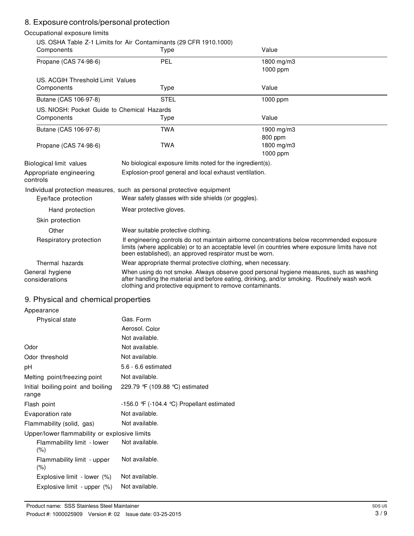# 8. Exposure controls/personal protection

#### Occupational exposure limits US. OSHA Table Z-1 Limits for Air Contaminants (29 CFR 1910.1000) Components Type Value Propane (CAS 74-98-6) US. ACGIH Threshold Limit Values PEL 1800 mg/m3 1000 ppm Components Type Value Butane (CAS 106-97-8) STEL STEL 1000 ppm US. NIOSH: Pocket Guide to Chemical Hazards Components Type Value Butane (CAS 106-97-8) Propane (CAS 74-98-6) TWA 1900 mg/m3 800 ppm TWA 1800 mg/m3 1000 ppm Biological limit values No biological exposure limits noted for the ingredient(s). Appropriate engineering controls Explosion-proof general and local exhaust ventilation. Individual protection measures, such as personal protective equipment Eye/face protection Wear safety glasses with side shields (or goggles). Hand protection Wear protective gloves. Skin protection Other Wear suitable protective clothing. Respiratory protection If engineering controls do not maintain airborne concentrations below recommended exposure limits (where applicable) or to an acceptable level (in countries where exposure limits have not been established), an approved respirator must be worn. Thermal hazards Wear appropriate thermal protective clothing, when necessary. General hygiene considerations When using do not smoke. Always observe good personal hygiene measures, such as washing after handling the material and before eating, drinking, and/or smoking. Routinely wash work clothing and protective equipment to remove contaminants.

## 9. Physical and chemical properties

| Appearance                                   |                                                       |  |  |
|----------------------------------------------|-------------------------------------------------------|--|--|
| Physical state                               | Gas. Form                                             |  |  |
|                                              | Aerosol, Color                                        |  |  |
|                                              | Not available.                                        |  |  |
| Odor                                         | Not available.                                        |  |  |
| Odor threshold                               | Not available.                                        |  |  |
| рH                                           | $5.6 - 6.6$ estimated                                 |  |  |
| Melting point/freezing point                 | Not available.                                        |  |  |
| Initial boiling point and boiling<br>range   | 229.79 F (109.88 °C) estimated                        |  |  |
| Flash point                                  | -156.0 $\mathcal{F}$ (-104.4 °C) Propellant estimated |  |  |
| Evaporation rate                             | Not available.                                        |  |  |
| Flammability (solid, gas)                    | Not available.                                        |  |  |
| Upper/lower flammability or explosive limits |                                                       |  |  |
| Flammability limit - lower<br>$(\% )$        | Not available.                                        |  |  |
| Flammability limit - upper<br>$(\% )$        | Not available.                                        |  |  |
| Explosive limit - lower (%)                  | Not available.                                        |  |  |
| Explosive limit - upper (%)                  | Not available.                                        |  |  |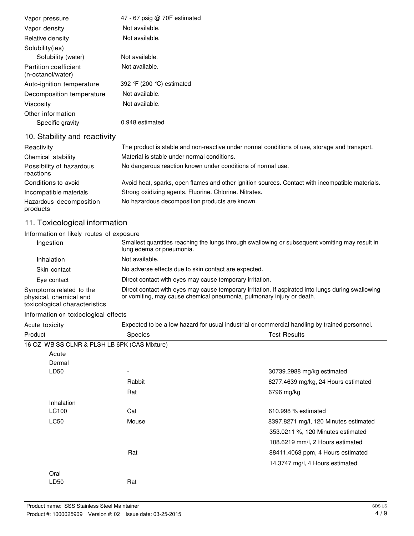| Vapor pressure                             | 47 - 67 psig @ 70F estimated                                                                     |
|--------------------------------------------|--------------------------------------------------------------------------------------------------|
| Vapor density                              | Not available.                                                                                   |
| Relative density                           | Not available.                                                                                   |
| Solubility(ies)                            |                                                                                                  |
| Solubility (water)                         | Not available.                                                                                   |
| Partition coefficient<br>(n-octanol/water) | Not available.                                                                                   |
| Auto-ignition temperature                  | 392 °F (200 °C) estimated                                                                        |
| Decomposition temperature                  | Not available.                                                                                   |
| Viscosity                                  | Not available.                                                                                   |
| Other information                          |                                                                                                  |
| Specific gravity                           | 0.948 estimated                                                                                  |
| 10. Stability and reactivity               |                                                                                                  |
| Reactivity                                 | The product is stable and non-reactive under normal conditions of use, storage and transport.    |
| Chemical stability                         | Material is stable under normal conditions.                                                      |
| Possibility of hazardous<br>reactions      | No dangerous reaction known under conditions of normal use.                                      |
| Conditions to avoid                        | Avoid heat, sparks, open flames and other ignition sources. Contact with incompatible materials. |
| Incompatible materials                     | Strong oxidizing agents. Fluorine. Chlorine. Nitrates.                                           |
| Hazardous decomposition<br>products        | No hazardous decomposition products are known.                                                   |

# 11. Toxicological information

Information on likely routes of exposure

| Ingestion                                                                          | Smallest quantities reaching the lungs through swallowing or subsequent vomiting may result in<br>lung edema or pneumonia.                                                  |
|------------------------------------------------------------------------------------|-----------------------------------------------------------------------------------------------------------------------------------------------------------------------------|
| Inhalation                                                                         | Not available.                                                                                                                                                              |
| Skin contact                                                                       | No adverse effects due to skin contact are expected.                                                                                                                        |
| Eye contact                                                                        | Direct contact with eyes may cause temporary irritation.                                                                                                                    |
| Symptoms related to the<br>physical, chemical and<br>toxicological characteristics | Direct contact with eyes may cause temporary irritation. If aspirated into lungs during swallowing<br>or vomiting, may cause chemical pneumonia, pulmonary injury or death. |

#### Information on toxicological effects

Acute toxicity Expected to be a low hazard for usual industrial or commercial handling by trained personnel.

| Product                                      | <b>Species</b> | <b>Test Results</b>                   |
|----------------------------------------------|----------------|---------------------------------------|
| 16 OZ WB SS CLNR & PLSH LB 6PK (CAS Mixture) |                |                                       |
| Acute                                        |                |                                       |
| Dermal                                       |                |                                       |
| LD50                                         |                | 30739.2988 mg/kg estimated            |
|                                              | Rabbit         | 6277.4639 mg/kg, 24 Hours estimated   |
|                                              | Rat            | 6796 mg/kg                            |
| Inhalation                                   |                |                                       |
| LC100                                        | Cat            | 610.998 % estimated                   |
| <b>LC50</b>                                  | Mouse          | 8397.8271 mg/l, 120 Minutes estimated |
|                                              |                | 353.0211 %, 120 Minutes estimated     |
|                                              |                | 108.6219 mm/l, 2 Hours estimated      |
|                                              | Rat            | 88411.4063 ppm, 4 Hours estimated     |
|                                              |                | 14.3747 mg/l, 4 Hours estimated       |
| Oral                                         |                |                                       |
| LD50                                         | Rat            |                                       |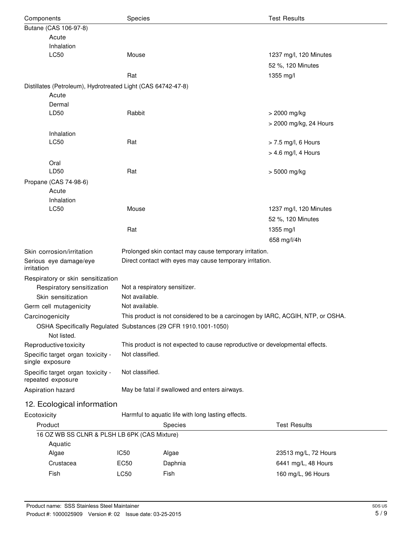| Species<br>Components                                          |                                                    | <b>Test Results</b>                                                                                                |                        |  |
|----------------------------------------------------------------|----------------------------------------------------|--------------------------------------------------------------------------------------------------------------------|------------------------|--|
| Butane (CAS 106-97-8)                                          |                                                    |                                                                                                                    |                        |  |
| Acute                                                          |                                                    |                                                                                                                    |                        |  |
| Inhalation                                                     |                                                    |                                                                                                                    |                        |  |
| LC50                                                           | Mouse                                              |                                                                                                                    | 1237 mg/l, 120 Minutes |  |
|                                                                |                                                    |                                                                                                                    | 52 %, 120 Minutes      |  |
|                                                                | Rat                                                |                                                                                                                    | 1355 mg/l              |  |
| Distillates (Petroleum), Hydrotreated Light (CAS 64742-47-8)   |                                                    |                                                                                                                    |                        |  |
| Acute                                                          |                                                    |                                                                                                                    |                        |  |
| Dermal                                                         |                                                    |                                                                                                                    |                        |  |
| LD50                                                           | Rabbit                                             |                                                                                                                    | > 2000 mg/kg           |  |
|                                                                |                                                    |                                                                                                                    | > 2000 mg/kg, 24 Hours |  |
| Inhalation                                                     |                                                    |                                                                                                                    |                        |  |
| LC50                                                           | Rat                                                |                                                                                                                    | $>$ 7.5 mg/l, 6 Hours  |  |
|                                                                |                                                    |                                                                                                                    | > 4.6 mg/l, 4 Hours    |  |
| Oral<br>LD50                                                   | Rat                                                |                                                                                                                    | > 5000 mg/kg           |  |
| Propane (CAS 74-98-6)                                          |                                                    |                                                                                                                    |                        |  |
| Acute                                                          |                                                    |                                                                                                                    |                        |  |
| Inhalation                                                     |                                                    |                                                                                                                    |                        |  |
| LC50                                                           | Mouse                                              |                                                                                                                    | 1237 mg/l, 120 Minutes |  |
|                                                                |                                                    |                                                                                                                    | 52 %, 120 Minutes      |  |
|                                                                | Rat                                                |                                                                                                                    | 1355 mg/l              |  |
|                                                                |                                                    |                                                                                                                    | 658 mg/l/4h            |  |
| Skin corrosion/irritation                                      |                                                    |                                                                                                                    |                        |  |
| Serious eye damage/eye                                         |                                                    | Prolonged skin contact may cause temporary irritation.<br>Direct contact with eyes may cause temporary irritation. |                        |  |
| irritation                                                     |                                                    |                                                                                                                    |                        |  |
| Respiratory or skin sensitization                              |                                                    |                                                                                                                    |                        |  |
| Respiratory sensitization                                      | Not a respiratory sensitizer.                      |                                                                                                                    |                        |  |
| Skin sensitization                                             | Not available.                                     |                                                                                                                    |                        |  |
| Germ cell mutagenicity                                         | Not available.                                     |                                                                                                                    |                        |  |
| Carcinogenicity                                                |                                                    | This product is not considered to be a carcinogen by IARC, ACGIH, NTP, or OSHA.                                    |                        |  |
| OSHA Specifically Regulated Substances (29 CFR 1910.1001-1050) |                                                    |                                                                                                                    |                        |  |
| Not listed.                                                    |                                                    |                                                                                                                    |                        |  |
| Reproductive toxicity                                          |                                                    | This product is not expected to cause reproductive or developmental effects.                                       |                        |  |
| Specific target organ toxicity -<br>single exposure            | Not classified.                                    |                                                                                                                    |                        |  |
| Specific target organ toxicity -<br>repeated exposure          | Not classified.                                    |                                                                                                                    |                        |  |
| Aspiration hazard                                              | May be fatal if swallowed and enters airways.      |                                                                                                                    |                        |  |
| 12. Ecological information                                     |                                                    |                                                                                                                    |                        |  |
| Ecotoxicity                                                    | Harmful to aquatic life with long lasting effects. |                                                                                                                    |                        |  |
| Product                                                        | Species<br><b>Test Results</b>                     |                                                                                                                    |                        |  |
| 16 OZ WB SS CLNR & PLSH LB 6PK (CAS Mixture)                   |                                                    |                                                                                                                    |                        |  |
| Aquatic                                                        |                                                    |                                                                                                                    |                        |  |
| Algae                                                          | IC <sub>50</sub>                                   | Algae                                                                                                              | 23513 mg/L, 72 Hours   |  |
| Crustacea                                                      | EC50                                               | Daphnia                                                                                                            | 6441 mg/L, 48 Hours    |  |
| Fish                                                           | LC50                                               | Fish                                                                                                               | 160 mg/L, 96 Hours     |  |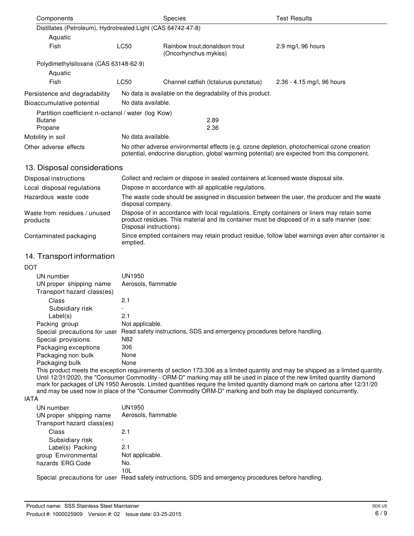| Components                                                   |                                                                                                                                                                                            | <b>Species</b>                                          | <b>Test Results</b>           |
|--------------------------------------------------------------|--------------------------------------------------------------------------------------------------------------------------------------------------------------------------------------------|---------------------------------------------------------|-------------------------------|
| Distillates (Petroleum), Hydrotreated Light (CAS 64742-47-8) |                                                                                                                                                                                            |                                                         |                               |
| Aquatic                                                      |                                                                                                                                                                                            |                                                         |                               |
| Fish                                                         | LC50                                                                                                                                                                                       | Rainbow trout, donaldson trout<br>(Oncorhynchus mykiss) | $2.9 \text{ mg/l}$ , 96 hours |
| Polydimethylsiloxane (CAS 63148-62-9)                        |                                                                                                                                                                                            |                                                         |                               |
| Aquatic                                                      |                                                                                                                                                                                            |                                                         |                               |
| Fish                                                         | LC50                                                                                                                                                                                       | Channel catfish (Ictalurus punctatus)                   | 2.36 - 4.15 mg/l, 96 hours    |
| Persistence and degradability                                | No data is available on the degradability of this product.                                                                                                                                 |                                                         |                               |
| Bioaccumulative potential                                    | No data available.                                                                                                                                                                         |                                                         |                               |
| Partition coefficient n-octanol / water (log Kow)            |                                                                                                                                                                                            |                                                         |                               |
| <b>Butane</b>                                                |                                                                                                                                                                                            | 2.89                                                    |                               |
| Propane                                                      |                                                                                                                                                                                            | 2.36                                                    |                               |
| Mobility in soil                                             | No data available.                                                                                                                                                                         |                                                         |                               |
| Other adverse effects                                        | No other adverse environmental effects (e.g. ozone depletion, photochemical ozone creation<br>potential, endocrine disruption, global warming potential) are expected from this component. |                                                         |                               |

## 13. Disposal considerations

| Disposal instructions                    | Collect and reclaim or dispose in sealed containers at licensed waste disposal site.                                                                                                                                   |
|------------------------------------------|------------------------------------------------------------------------------------------------------------------------------------------------------------------------------------------------------------------------|
| Local disposal regulations               | Dispose in accordance with all applicable regulations.                                                                                                                                                                 |
| Hazardous waste code                     | The waste code should be assigned in discussion between the user, the producer and the waste<br>disposal company.                                                                                                      |
| Waste from residues / unused<br>products | Dispose of in accordance with local regulations. Empty containers or liners may retain some<br>product residues. This material and its container must be disposed of in a safe manner (see:<br>Disposal instructions). |
| Contaminated packaging                   | Since emptied containers may retain product residue, follow label warnings even after container is<br>emptied.                                                                                                         |

## 14. Transport information

| DOT                                                   |                                                                         |
|-------------------------------------------------------|-------------------------------------------------------------------------|
| UN number                                             | UN1950                                                                  |
| UN proper shipping name<br>Transport hazard class(es) | Aerosols, flammable                                                     |
| Class                                                 | 2.1                                                                     |
| Subsidiary risk                                       |                                                                         |
| Label(s)                                              | 2.1                                                                     |
| Packing group                                         | Not applicable.                                                         |
| Special precautions for user                          | Read safety instructions, SDS and emergency procedures before handling. |
| Special provisions                                    | N82                                                                     |
| Packaging exceptions                                  | 306                                                                     |
| Packaging non bulk                                    | None                                                                    |
| Packaging bulk                                        | None                                                                    |

This product meets the exception requirements of section 173.306 as a limited quantity and may be shipped as a limited quantity. Until 12/31/2020, the "Consumer Commodity - ORM-D" marking may still be used in place of the new limited quantity diamond mark for packages of UN 1950 Aerosols. Limited quantities require the limited quantity diamond mark on cartons after 12/31/20 and may be used now in place of the "Consumer Commodity ORM-D" marking and both may be displayed concurrently.

#### IATA

| UN number<br>UN proper shipping name<br>Transport hazard class(es) | UN1950<br>Aerosols, flammable                                                                        |
|--------------------------------------------------------------------|------------------------------------------------------------------------------------------------------|
| Class                                                              | 2.1                                                                                                  |
| Subsidiary risk                                                    |                                                                                                      |
| Label(s) Packing                                                   | 2.1                                                                                                  |
| group Environmental                                                | Not applicable.                                                                                      |
| hazards ERG Code                                                   | No.                                                                                                  |
|                                                                    | 10L                                                                                                  |
|                                                                    | Special precautions for user Read safety instructions, SDS and emergency procedures before handling. |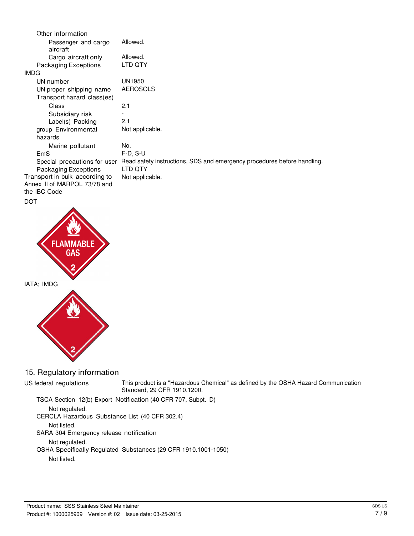| Other information                                                              |                                                                         |
|--------------------------------------------------------------------------------|-------------------------------------------------------------------------|
| Passenger and cargo<br>aircraft                                                | Allowed.                                                                |
| Cargo aircraft only                                                            | Allowed.                                                                |
| Packaging Exceptions                                                           | LTD QTY                                                                 |
| <b>IMDG</b>                                                                    |                                                                         |
| UN number                                                                      | <b>UN1950</b>                                                           |
| UN proper shipping name                                                        | <b>AEROSOLS</b>                                                         |
| Transport hazard class(es)                                                     |                                                                         |
| Class                                                                          | 2.1                                                                     |
| Subsidiary risk                                                                |                                                                         |
| Label(s) Packing                                                               | 2.1                                                                     |
| group Environmental                                                            | Not applicable.                                                         |
| hazards                                                                        |                                                                         |
| Marine pollutant                                                               | No.                                                                     |
| EmS                                                                            | $F-D, S-U$                                                              |
| Special precautions for user                                                   | Read safety instructions, SDS and emergency procedures before handling. |
| Packaging Exceptions                                                           | LTD QTY                                                                 |
| Transport in bulk according to<br>Annex II of MARPOL 73/78 and<br>the IBC Code | Not applicable.                                                         |
| <b>DOT</b>                                                                     |                                                                         |



15. Regulatory information

US federal regulations This product is a "Hazardous Chemical" as defined by the OSHA Hazard Communication Standard, 29 CFR 1910.1200.

TSCA Section 12(b) Export Notification (40 CFR 707, Subpt. D)

Not regulated.

CERCLA Hazardous Substance List (40 CFR 302.4)

Not listed.

SARA 304 Emergency release notification

Not regulated.

OSHA Specifically Regulated Substances (29 CFR 1910.1001-1050)

Not listed.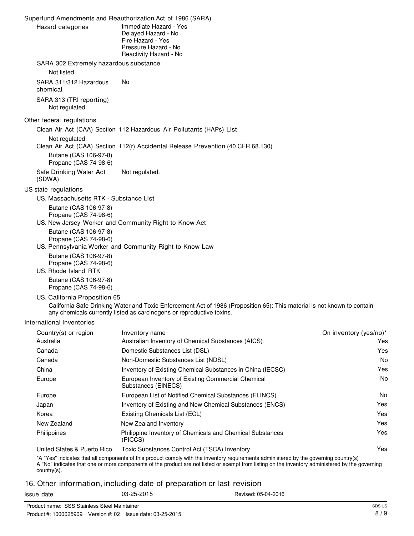|                                                                        | Superfund Amendments and Reauthorization Act of 1986 (SARA)                                                                                                                                       |                        |
|------------------------------------------------------------------------|---------------------------------------------------------------------------------------------------------------------------------------------------------------------------------------------------|------------------------|
| Hazard categories                                                      | Immediate Hazard - Yes<br>Delayed Hazard - No<br>Fire Hazard - Yes<br>Pressure Hazard - No<br>Reactivity Hazard - No                                                                              |                        |
| SARA 302 Extremely hazardous substance<br>Not listed.                  |                                                                                                                                                                                                   |                        |
| SARA 311/312 Hazardous<br>chemical                                     | No                                                                                                                                                                                                |                        |
| SARA 313 (TRI reporting)<br>Not regulated.                             |                                                                                                                                                                                                   |                        |
| Other federal regulations                                              |                                                                                                                                                                                                   |                        |
|                                                                        | Clean Air Act (CAA) Section 112 Hazardous Air Pollutants (HAPs) List                                                                                                                              |                        |
| Not regulated.                                                         | Clean Air Act (CAA) Section 112(r) Accidental Release Prevention (40 CFR 68.130)                                                                                                                  |                        |
| Butane (CAS 106-97-8)<br>Propane (CAS 74-98-6)                         |                                                                                                                                                                                                   |                        |
| Safe Drinking Water Act<br>(SDWA)                                      | Not regulated.                                                                                                                                                                                    |                        |
| US state regulations                                                   |                                                                                                                                                                                                   |                        |
| US. Massachusetts RTK - Substance List                                 |                                                                                                                                                                                                   |                        |
| Butane (CAS 106-97-8)<br>Propane (CAS 74-98-6)                         | US. New Jersey Worker and Community Right-to-Know Act                                                                                                                                             |                        |
| Butane (CAS 106-97-8)<br>Propane (CAS 74-98-6)                         | US. Pennsylvania Worker and Community Right-to-Know Law                                                                                                                                           |                        |
| Butane (CAS 106-97-8)<br>Propane (CAS 74-98-6)<br>US. Rhode Island RTK |                                                                                                                                                                                                   |                        |
| Butane (CAS 106-97-8)<br>Propane (CAS 74-98-6)                         |                                                                                                                                                                                                   |                        |
| US. California Proposition 65                                          | California Safe Drinking Water and Toxic Enforcement Act of 1986 (Proposition 65): This material is not known to contain<br>any chemicals currently listed as carcinogens or reproductive toxins. |                        |
| International Inventories                                              |                                                                                                                                                                                                   |                        |
| Country(s) or region                                                   | Inventory name                                                                                                                                                                                    | On inventory (yes/no)* |
| Australia                                                              | Australian Inventory of Chemical Substances (AICS)                                                                                                                                                | Yes                    |
| Canada                                                                 | Domestic Substances List (DSL)                                                                                                                                                                    | Yes                    |
| Canada                                                                 | Non-Domestic Substances List (NDSL)                                                                                                                                                               | No                     |
| China                                                                  | Inventory of Existing Chemical Substances in China (IECSC)                                                                                                                                        | Yes                    |
| Europe                                                                 | European Inventory of Existing Commercial Chemical<br>Substances (EINECS)                                                                                                                         | No                     |

16. Other information, including date of preparation or last revision

United States & Puerto Rico Toxic Substances Control Act (TSCA) Inventory

(PICCS)

Europe **European List of Notified Chemical Substances (ELINCS)** Japan Inventory of Existing and New Chemical Substances (ENCS)

Philippines Philippine Inventory of Chemicals and Chemical Substances

\*A "Yes" indicates that all components of this product comply with the inventory requirements administered by the governing country(s)

A "No" indicates that one or more components of the product are not listed or exempt from listing on the inventory administered by the governing

country(s).

Issue date 03-25-2015 Revised: 05-04-2016

Korea Existing Chemicals List (ECL) New Zealand New Zealand Inventory

No Yes Yes Yes Yes

Yes